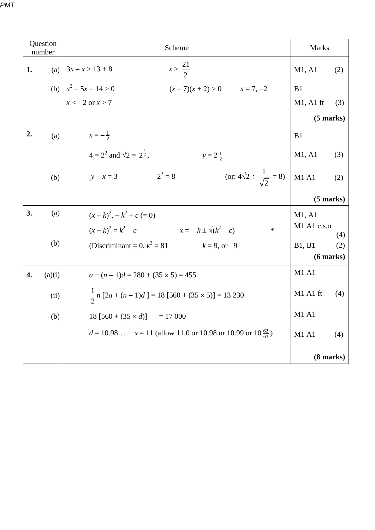| Question<br>number |        | Scheme                                                                     | <b>Marks</b>        |                |
|--------------------|--------|----------------------------------------------------------------------------|---------------------|----------------|
| 1.                 |        | $x > \frac{21}{2}$<br>(a) $3x - x > 13 + 8$                                | M1, A1              | (2)            |
|                    |        | (b) $x^2 - 5x - 14 > 0$<br>$(x-7)(x+2) > 0$ $x = 7, -2$                    | B1                  |                |
|                    |        | $x < -2$ or $x > 7$                                                        | $M1$ , A1 ft        | (3)            |
|                    |        |                                                                            | $(5 \text{ marks})$ |                |
| 2.                 | (a)    | $x = -\frac{1}{2}$                                                         | B1                  |                |
|                    |        | $4 = 2^2$ and $\sqrt{2} = 2^{\frac{1}{2}}$ .<br>$y = 2\frac{1}{2}$         | M1, A1              | (3)            |
|                    | (b)    | (or: $4\sqrt{2} \div \frac{1}{\sqrt{2}} = 8$ )<br>$y - x = 3$ $2^3 = 8$    | M1A1                | (2)            |
|                    |        |                                                                            |                     | $(5$ marks)    |
| 3.                 | (a)    | $(x+k)^2$ , $-k^2+c$ (= 0)                                                 | M1, A1              |                |
|                    |        | $(x+k)^2 = k^2 - c$ $x = -k \pm \sqrt{k^2 - c}$<br>$\ast$                  | M1 A1 c.s.o         | (4)            |
|                    | (b)    | (Discriminant = 0, $k^2 = 81$ $k = 9$ , or -9                              | B1, B1              | (2)            |
|                    |        |                                                                            |                     | $(6$ marks $)$ |
| 4.                 | (a)(i) | $a + (n-1)d = 280 + (35 \times 5) = 455$                                   | M1 A1               |                |
|                    | (ii)   | $\frac{1}{2}n[2a + (n-1)d] = 18[560 + (35 \times 5)] = 13230$              | M1 A1 ft            | (4)            |
|                    | (b)    | $18 [560 + (35 \times d)] = 17 000$                                        | M1 A1               |                |
|                    |        | $d = 10.98$ $x = 11$ (allow 11.0 or 10.98 or 10.99 or 10 $\frac{62}{63}$ ) | M1 A1               | (4)            |
|                    |        |                                                                            | $(8 \text{ marks})$ |                |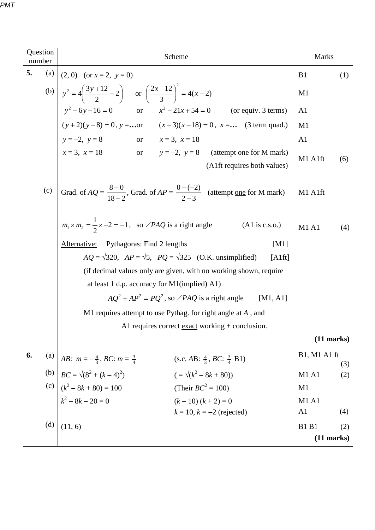| Question<br>number | Scheme                                                                                                            | <b>Marks</b>          |  |
|--------------------|-------------------------------------------------------------------------------------------------------------------|-----------------------|--|
| 5.<br>(a)          | $(2, 0)$ (or $x = 2$ , $y = 0$ )                                                                                  | B <sub>1</sub><br>(1) |  |
|                    | (b) $y^2 = 4\left(\frac{3y+12}{2}-2\right)$ or $\left(\frac{2x-12}{3}\right)^2 = 4(x-2)$                          | M1                    |  |
|                    | $y^2 - 6y - 16 = 0$ or $x^2 - 21x + 54 = 0$ (or equiv. 3 terms)                                                   | A1                    |  |
|                    | $(y+2)(y-8) = 0$ , $y = $ or $(x-3)(x-18) = 0$ , $x = $ (3 term quad.)                                            | M1                    |  |
|                    | $y = -2$ , $y = 8$<br>or $x = 3, x = 18$                                                                          | A1                    |  |
|                    | $x = 3$ , $x = 18$ or $y = -2$ , $y = 8$ (attempt <u>one</u> for M mark)<br>(A1ft requires both values)           | M1 A1ft<br>(6)        |  |
| (c)                | Grad. of $AQ = \frac{8-0}{18-2}$ , Grad. of $AP = \frac{0-(-2)}{2-3}$ (attempt <u>one</u> for M mark)             | M1 A1ft               |  |
|                    | $m_1 \times m_2 = \frac{1}{2} \times -2 = -1$ , so $\angle PAQ$ is a right angle<br>$(A1 \text{ is c.s.}0.)$      | <b>M1 A1</b><br>(4)   |  |
|                    | Alternative:<br>Pythagoras: Find 2 lengths<br>[M1]                                                                |                       |  |
|                    | $AQ = \sqrt{320}$ , $AP = \sqrt{5}$ , $PQ = \sqrt{325}$ (O.K. unsimplified)<br>[Alft]                             |                       |  |
|                    | (if decimal values only are given, with no working shown, require                                                 |                       |  |
|                    | at least 1 d.p. accuracy for M1(implied) A1)                                                                      |                       |  |
|                    | $AQ^{2} + AP^{2} = PQ^{2}$ , so $\angle PAQ$ is a right angle<br>[M1, A1]                                         |                       |  |
|                    | M1 requires attempt to use Pythag. for right angle at $A$ , and                                                   |                       |  |
|                    | A1 requires correct <u>exact</u> working $+$ conclusion.                                                          |                       |  |
|                    |                                                                                                                   | $(11$ marks)          |  |
| 6.<br>(a)          | <i>AB</i> : $m = -\frac{4}{3}$ , <i>BC</i> : $m = \frac{3}{4}$<br>(s.c. AB: $\frac{4}{3}$ , BC: $\frac{3}{4}$ B1) | B1, M1 A1 ft<br>(3)   |  |
|                    | (b) $BC = \sqrt{(8^2 + (k-4)^2)}$<br>$(=\sqrt{k^2-8k+80})$                                                        | <b>M1 A1</b><br>(2)   |  |
|                    | (c) $(k^2 - 8k + 80) = 100$<br>(Their $BC^2 = 100$ )                                                              | M1                    |  |
|                    | $k^2 - 8k - 20 = 0$<br>$(k-10) (k+2) = 0$                                                                         | M1 A1                 |  |
|                    | $k = 10$ , $k = -2$ (rejected)                                                                                    | A <sub>1</sub><br>(4) |  |
| (d)                | (11, 6)                                                                                                           | <b>B1 B1</b><br>(2)   |  |
|                    |                                                                                                                   | $(11$ marks)          |  |